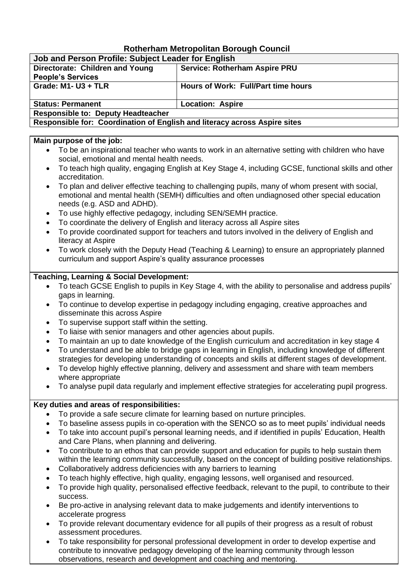# **Rotherham Metropolitan Borough Council**

| Job and Person Profile: Subject Leader for English                        |                                      |  |
|---------------------------------------------------------------------------|--------------------------------------|--|
| Directorate: Children and Young                                           | <b>Service: Rotherham Aspire PRU</b> |  |
| <b>People's Services</b>                                                  |                                      |  |
| Grade: $M1 - U3 + TLR$                                                    | Hours of Work: Full/Part time hours  |  |
|                                                                           |                                      |  |
| <b>Status: Permanent</b>                                                  | <b>Location: Aspire</b>              |  |
| <b>Responsible to: Deputy Headteacher</b>                                 |                                      |  |
| Responsible for: Coordination of English and literacy across Aspire sites |                                      |  |

#### **Main purpose of the job:**

- To be an inspirational teacher who wants to work in an alternative setting with children who have social, emotional and mental health needs.
- To teach high quality, engaging English at Key Stage 4, including GCSE, functional skills and other accreditation.
- To plan and deliver effective teaching to challenging pupils, many of whom present with social, emotional and mental health (SEMH) difficulties and often undiagnosed other special education needs (e.g. ASD and ADHD).
- To use highly effective pedagogy, including SEN/SEMH practice.
- To coordinate the delivery of English and literacy across all Aspire sites
- To provide coordinated support for teachers and tutors involved in the delivery of English and literacy at Aspire
- To work closely with the Deputy Head (Teaching & Learning) to ensure an appropriately planned curriculum and support Aspire's quality assurance processes

## **Teaching, Learning & Social Development:**

- To teach GCSE English to pupils in Key Stage 4, with the ability to personalise and address pupils' gaps in learning.
- To continue to develop expertise in pedagogy including engaging, creative approaches and disseminate this across Aspire
- To supervise support staff within the setting.
- To liaise with senior managers and other agencies about pupils.
- To maintain an up to date knowledge of the English curriculum and accreditation in key stage 4
- To understand and be able to bridge gaps in learning in English, including knowledge of different strategies for developing understanding of concepts and skills at different stages of development.
- To develop highly effective planning, delivery and assessment and share with team members where appropriate
- To analyse pupil data regularly and implement effective strategies for accelerating pupil progress.

## **Key duties and areas of responsibilities:**

- To provide a safe secure climate for learning based on nurture principles.
- To baseline assess pupils in co-operation with the SENCO so as to meet pupils' individual needs
- To take into account pupil's personal learning needs, and if identified in pupils' Education, Health and Care Plans, when planning and delivering.
- To contribute to an ethos that can provide support and education for pupils to help sustain them within the learning community successfully, based on the concept of building positive relationships.
- Collaboratively address deficiencies with any barriers to learning
- To teach highly effective, high quality, engaging lessons, well organised and resourced.
- To provide high quality, personalised effective feedback, relevant to the pupil, to contribute to their success.
- Be pro-active in analysing relevant data to make judgements and identify interventions to accelerate progress
- To provide relevant documentary evidence for all pupils of their progress as a result of robust assessment procedures.
- To take responsibility for personal professional development in order to develop expertise and contribute to innovative pedagogy developing of the learning community through lesson observations, research and development and coaching and mentoring.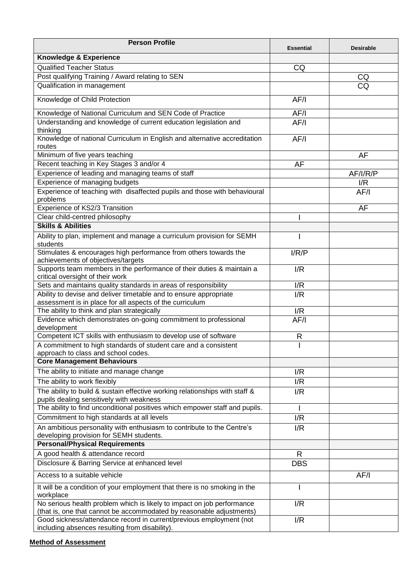| Knowledge & Experience<br><b>Qualified Teacher Status</b><br>CQ<br>Post qualifying Training / Award relating to SEN<br>CQ<br>CQ<br>Qualification in management<br>Knowledge of Child Protection<br>AF/I<br>Knowledge of National Curriculum and SEN Code of Practice<br>AF/I<br>Understanding and knowledge of current education legislation and<br>AF/I<br>thinking<br>Knowledge of national Curriculum in English and alternative accreditation<br>AF/I<br>routes<br>Minimum of five years teaching<br>AF<br>Recent teaching in Key Stages 3 and/or 4<br>AF<br>Experience of leading and managing teams of staff<br>AF/I/R/P<br>Experience of managing budgets<br>I/R<br>Experience of teaching with disaffected pupils and those with behavioural<br>AF/I<br>problems<br>Experience of KS2/3 Transition<br><b>AF</b><br>Clear child-centred philosophy<br><b>Skills &amp; Abilities</b><br>Ability to plan, implement and manage a curriculum provision for SEMH<br>students<br>Stimulates & encourages high performance from others towards the<br>I/R/P<br>achievements of objectives/targets<br>Supports team members in the performance of their duties & maintain a<br>I/R<br>critical oversight of their work<br>Sets and maintains quality standards in areas of responsibility<br>I/R<br>Ability to devise and deliver timetable and to ensure appropriate<br>I/R<br>assessment is in place for all aspects of the curriculum<br>The ability to think and plan strategically<br>I/R<br>Evidence which demonstrates on-going commitment to professional<br>AF/I<br>development<br>Competent ICT skills with enthusiasm to develop use of software<br>R<br>A commitment to high standards of student care and a consistent<br>approach to class and school codes.<br><b>Core Management Behaviours</b><br>The ability to initiate and manage change<br>I/R<br>The ability to work flexibly<br>I/R<br>The ability to build & sustain effective working relationships with staff &<br>I/R<br>pupils dealing sensitively with weakness<br>The ability to find unconditional positives which empower staff and pupils.<br>Commitment to high standards at all levels<br>I/R<br>An ambitious personality with enthusiasm to contribute to the Centre's<br>I/R<br>developing provision for SEMH students.<br><b>Personal/Physical Requirements</b><br>A good health & attendance record<br>$\mathsf{R}$<br>Disclosure & Barring Service at enhanced level<br><b>DBS</b><br>Access to a suitable vehicle<br>AF/I<br>It will be a condition of your employment that there is no smoking in the<br>workplace<br>No serious health problem which is likely to impact on job performance<br>I/R<br>(that is, one that cannot be accommodated by reasonable adjustments)<br>Good sickness/attendance record in current/previous employment (not<br>I/R | <b>Person Profile</b>                          | <b>Essential</b> | <b>Desirable</b> |
|-----------------------------------------------------------------------------------------------------------------------------------------------------------------------------------------------------------------------------------------------------------------------------------------------------------------------------------------------------------------------------------------------------------------------------------------------------------------------------------------------------------------------------------------------------------------------------------------------------------------------------------------------------------------------------------------------------------------------------------------------------------------------------------------------------------------------------------------------------------------------------------------------------------------------------------------------------------------------------------------------------------------------------------------------------------------------------------------------------------------------------------------------------------------------------------------------------------------------------------------------------------------------------------------------------------------------------------------------------------------------------------------------------------------------------------------------------------------------------------------------------------------------------------------------------------------------------------------------------------------------------------------------------------------------------------------------------------------------------------------------------------------------------------------------------------------------------------------------------------------------------------------------------------------------------------------------------------------------------------------------------------------------------------------------------------------------------------------------------------------------------------------------------------------------------------------------------------------------------------------------------------------------------------------------------------------------------------------------------------------------------------------------------------------------------------------------------------------------------------------------------------------------------------------------------------------------------------------------------------------------------------------------------------------------------------------------------------------------------------------------------------------------------------------------------------------------------------------------------|------------------------------------------------|------------------|------------------|
|                                                                                                                                                                                                                                                                                                                                                                                                                                                                                                                                                                                                                                                                                                                                                                                                                                                                                                                                                                                                                                                                                                                                                                                                                                                                                                                                                                                                                                                                                                                                                                                                                                                                                                                                                                                                                                                                                                                                                                                                                                                                                                                                                                                                                                                                                                                                                                                                                                                                                                                                                                                                                                                                                                                                                                                                                                                     |                                                |                  |                  |
|                                                                                                                                                                                                                                                                                                                                                                                                                                                                                                                                                                                                                                                                                                                                                                                                                                                                                                                                                                                                                                                                                                                                                                                                                                                                                                                                                                                                                                                                                                                                                                                                                                                                                                                                                                                                                                                                                                                                                                                                                                                                                                                                                                                                                                                                                                                                                                                                                                                                                                                                                                                                                                                                                                                                                                                                                                                     |                                                |                  |                  |
|                                                                                                                                                                                                                                                                                                                                                                                                                                                                                                                                                                                                                                                                                                                                                                                                                                                                                                                                                                                                                                                                                                                                                                                                                                                                                                                                                                                                                                                                                                                                                                                                                                                                                                                                                                                                                                                                                                                                                                                                                                                                                                                                                                                                                                                                                                                                                                                                                                                                                                                                                                                                                                                                                                                                                                                                                                                     |                                                |                  |                  |
|                                                                                                                                                                                                                                                                                                                                                                                                                                                                                                                                                                                                                                                                                                                                                                                                                                                                                                                                                                                                                                                                                                                                                                                                                                                                                                                                                                                                                                                                                                                                                                                                                                                                                                                                                                                                                                                                                                                                                                                                                                                                                                                                                                                                                                                                                                                                                                                                                                                                                                                                                                                                                                                                                                                                                                                                                                                     |                                                |                  |                  |
|                                                                                                                                                                                                                                                                                                                                                                                                                                                                                                                                                                                                                                                                                                                                                                                                                                                                                                                                                                                                                                                                                                                                                                                                                                                                                                                                                                                                                                                                                                                                                                                                                                                                                                                                                                                                                                                                                                                                                                                                                                                                                                                                                                                                                                                                                                                                                                                                                                                                                                                                                                                                                                                                                                                                                                                                                                                     |                                                |                  |                  |
|                                                                                                                                                                                                                                                                                                                                                                                                                                                                                                                                                                                                                                                                                                                                                                                                                                                                                                                                                                                                                                                                                                                                                                                                                                                                                                                                                                                                                                                                                                                                                                                                                                                                                                                                                                                                                                                                                                                                                                                                                                                                                                                                                                                                                                                                                                                                                                                                                                                                                                                                                                                                                                                                                                                                                                                                                                                     |                                                |                  |                  |
|                                                                                                                                                                                                                                                                                                                                                                                                                                                                                                                                                                                                                                                                                                                                                                                                                                                                                                                                                                                                                                                                                                                                                                                                                                                                                                                                                                                                                                                                                                                                                                                                                                                                                                                                                                                                                                                                                                                                                                                                                                                                                                                                                                                                                                                                                                                                                                                                                                                                                                                                                                                                                                                                                                                                                                                                                                                     |                                                |                  |                  |
|                                                                                                                                                                                                                                                                                                                                                                                                                                                                                                                                                                                                                                                                                                                                                                                                                                                                                                                                                                                                                                                                                                                                                                                                                                                                                                                                                                                                                                                                                                                                                                                                                                                                                                                                                                                                                                                                                                                                                                                                                                                                                                                                                                                                                                                                                                                                                                                                                                                                                                                                                                                                                                                                                                                                                                                                                                                     |                                                |                  |                  |
|                                                                                                                                                                                                                                                                                                                                                                                                                                                                                                                                                                                                                                                                                                                                                                                                                                                                                                                                                                                                                                                                                                                                                                                                                                                                                                                                                                                                                                                                                                                                                                                                                                                                                                                                                                                                                                                                                                                                                                                                                                                                                                                                                                                                                                                                                                                                                                                                                                                                                                                                                                                                                                                                                                                                                                                                                                                     |                                                |                  |                  |
|                                                                                                                                                                                                                                                                                                                                                                                                                                                                                                                                                                                                                                                                                                                                                                                                                                                                                                                                                                                                                                                                                                                                                                                                                                                                                                                                                                                                                                                                                                                                                                                                                                                                                                                                                                                                                                                                                                                                                                                                                                                                                                                                                                                                                                                                                                                                                                                                                                                                                                                                                                                                                                                                                                                                                                                                                                                     |                                                |                  |                  |
|                                                                                                                                                                                                                                                                                                                                                                                                                                                                                                                                                                                                                                                                                                                                                                                                                                                                                                                                                                                                                                                                                                                                                                                                                                                                                                                                                                                                                                                                                                                                                                                                                                                                                                                                                                                                                                                                                                                                                                                                                                                                                                                                                                                                                                                                                                                                                                                                                                                                                                                                                                                                                                                                                                                                                                                                                                                     |                                                |                  |                  |
|                                                                                                                                                                                                                                                                                                                                                                                                                                                                                                                                                                                                                                                                                                                                                                                                                                                                                                                                                                                                                                                                                                                                                                                                                                                                                                                                                                                                                                                                                                                                                                                                                                                                                                                                                                                                                                                                                                                                                                                                                                                                                                                                                                                                                                                                                                                                                                                                                                                                                                                                                                                                                                                                                                                                                                                                                                                     |                                                |                  |                  |
|                                                                                                                                                                                                                                                                                                                                                                                                                                                                                                                                                                                                                                                                                                                                                                                                                                                                                                                                                                                                                                                                                                                                                                                                                                                                                                                                                                                                                                                                                                                                                                                                                                                                                                                                                                                                                                                                                                                                                                                                                                                                                                                                                                                                                                                                                                                                                                                                                                                                                                                                                                                                                                                                                                                                                                                                                                                     |                                                |                  |                  |
|                                                                                                                                                                                                                                                                                                                                                                                                                                                                                                                                                                                                                                                                                                                                                                                                                                                                                                                                                                                                                                                                                                                                                                                                                                                                                                                                                                                                                                                                                                                                                                                                                                                                                                                                                                                                                                                                                                                                                                                                                                                                                                                                                                                                                                                                                                                                                                                                                                                                                                                                                                                                                                                                                                                                                                                                                                                     |                                                |                  |                  |
|                                                                                                                                                                                                                                                                                                                                                                                                                                                                                                                                                                                                                                                                                                                                                                                                                                                                                                                                                                                                                                                                                                                                                                                                                                                                                                                                                                                                                                                                                                                                                                                                                                                                                                                                                                                                                                                                                                                                                                                                                                                                                                                                                                                                                                                                                                                                                                                                                                                                                                                                                                                                                                                                                                                                                                                                                                                     |                                                |                  |                  |
|                                                                                                                                                                                                                                                                                                                                                                                                                                                                                                                                                                                                                                                                                                                                                                                                                                                                                                                                                                                                                                                                                                                                                                                                                                                                                                                                                                                                                                                                                                                                                                                                                                                                                                                                                                                                                                                                                                                                                                                                                                                                                                                                                                                                                                                                                                                                                                                                                                                                                                                                                                                                                                                                                                                                                                                                                                                     |                                                |                  |                  |
|                                                                                                                                                                                                                                                                                                                                                                                                                                                                                                                                                                                                                                                                                                                                                                                                                                                                                                                                                                                                                                                                                                                                                                                                                                                                                                                                                                                                                                                                                                                                                                                                                                                                                                                                                                                                                                                                                                                                                                                                                                                                                                                                                                                                                                                                                                                                                                                                                                                                                                                                                                                                                                                                                                                                                                                                                                                     |                                                |                  |                  |
|                                                                                                                                                                                                                                                                                                                                                                                                                                                                                                                                                                                                                                                                                                                                                                                                                                                                                                                                                                                                                                                                                                                                                                                                                                                                                                                                                                                                                                                                                                                                                                                                                                                                                                                                                                                                                                                                                                                                                                                                                                                                                                                                                                                                                                                                                                                                                                                                                                                                                                                                                                                                                                                                                                                                                                                                                                                     |                                                |                  |                  |
|                                                                                                                                                                                                                                                                                                                                                                                                                                                                                                                                                                                                                                                                                                                                                                                                                                                                                                                                                                                                                                                                                                                                                                                                                                                                                                                                                                                                                                                                                                                                                                                                                                                                                                                                                                                                                                                                                                                                                                                                                                                                                                                                                                                                                                                                                                                                                                                                                                                                                                                                                                                                                                                                                                                                                                                                                                                     |                                                |                  |                  |
|                                                                                                                                                                                                                                                                                                                                                                                                                                                                                                                                                                                                                                                                                                                                                                                                                                                                                                                                                                                                                                                                                                                                                                                                                                                                                                                                                                                                                                                                                                                                                                                                                                                                                                                                                                                                                                                                                                                                                                                                                                                                                                                                                                                                                                                                                                                                                                                                                                                                                                                                                                                                                                                                                                                                                                                                                                                     |                                                |                  |                  |
|                                                                                                                                                                                                                                                                                                                                                                                                                                                                                                                                                                                                                                                                                                                                                                                                                                                                                                                                                                                                                                                                                                                                                                                                                                                                                                                                                                                                                                                                                                                                                                                                                                                                                                                                                                                                                                                                                                                                                                                                                                                                                                                                                                                                                                                                                                                                                                                                                                                                                                                                                                                                                                                                                                                                                                                                                                                     |                                                |                  |                  |
|                                                                                                                                                                                                                                                                                                                                                                                                                                                                                                                                                                                                                                                                                                                                                                                                                                                                                                                                                                                                                                                                                                                                                                                                                                                                                                                                                                                                                                                                                                                                                                                                                                                                                                                                                                                                                                                                                                                                                                                                                                                                                                                                                                                                                                                                                                                                                                                                                                                                                                                                                                                                                                                                                                                                                                                                                                                     |                                                |                  |                  |
|                                                                                                                                                                                                                                                                                                                                                                                                                                                                                                                                                                                                                                                                                                                                                                                                                                                                                                                                                                                                                                                                                                                                                                                                                                                                                                                                                                                                                                                                                                                                                                                                                                                                                                                                                                                                                                                                                                                                                                                                                                                                                                                                                                                                                                                                                                                                                                                                                                                                                                                                                                                                                                                                                                                                                                                                                                                     |                                                |                  |                  |
|                                                                                                                                                                                                                                                                                                                                                                                                                                                                                                                                                                                                                                                                                                                                                                                                                                                                                                                                                                                                                                                                                                                                                                                                                                                                                                                                                                                                                                                                                                                                                                                                                                                                                                                                                                                                                                                                                                                                                                                                                                                                                                                                                                                                                                                                                                                                                                                                                                                                                                                                                                                                                                                                                                                                                                                                                                                     |                                                |                  |                  |
|                                                                                                                                                                                                                                                                                                                                                                                                                                                                                                                                                                                                                                                                                                                                                                                                                                                                                                                                                                                                                                                                                                                                                                                                                                                                                                                                                                                                                                                                                                                                                                                                                                                                                                                                                                                                                                                                                                                                                                                                                                                                                                                                                                                                                                                                                                                                                                                                                                                                                                                                                                                                                                                                                                                                                                                                                                                     |                                                |                  |                  |
|                                                                                                                                                                                                                                                                                                                                                                                                                                                                                                                                                                                                                                                                                                                                                                                                                                                                                                                                                                                                                                                                                                                                                                                                                                                                                                                                                                                                                                                                                                                                                                                                                                                                                                                                                                                                                                                                                                                                                                                                                                                                                                                                                                                                                                                                                                                                                                                                                                                                                                                                                                                                                                                                                                                                                                                                                                                     |                                                |                  |                  |
|                                                                                                                                                                                                                                                                                                                                                                                                                                                                                                                                                                                                                                                                                                                                                                                                                                                                                                                                                                                                                                                                                                                                                                                                                                                                                                                                                                                                                                                                                                                                                                                                                                                                                                                                                                                                                                                                                                                                                                                                                                                                                                                                                                                                                                                                                                                                                                                                                                                                                                                                                                                                                                                                                                                                                                                                                                                     |                                                |                  |                  |
|                                                                                                                                                                                                                                                                                                                                                                                                                                                                                                                                                                                                                                                                                                                                                                                                                                                                                                                                                                                                                                                                                                                                                                                                                                                                                                                                                                                                                                                                                                                                                                                                                                                                                                                                                                                                                                                                                                                                                                                                                                                                                                                                                                                                                                                                                                                                                                                                                                                                                                                                                                                                                                                                                                                                                                                                                                                     |                                                |                  |                  |
|                                                                                                                                                                                                                                                                                                                                                                                                                                                                                                                                                                                                                                                                                                                                                                                                                                                                                                                                                                                                                                                                                                                                                                                                                                                                                                                                                                                                                                                                                                                                                                                                                                                                                                                                                                                                                                                                                                                                                                                                                                                                                                                                                                                                                                                                                                                                                                                                                                                                                                                                                                                                                                                                                                                                                                                                                                                     |                                                |                  |                  |
|                                                                                                                                                                                                                                                                                                                                                                                                                                                                                                                                                                                                                                                                                                                                                                                                                                                                                                                                                                                                                                                                                                                                                                                                                                                                                                                                                                                                                                                                                                                                                                                                                                                                                                                                                                                                                                                                                                                                                                                                                                                                                                                                                                                                                                                                                                                                                                                                                                                                                                                                                                                                                                                                                                                                                                                                                                                     |                                                |                  |                  |
|                                                                                                                                                                                                                                                                                                                                                                                                                                                                                                                                                                                                                                                                                                                                                                                                                                                                                                                                                                                                                                                                                                                                                                                                                                                                                                                                                                                                                                                                                                                                                                                                                                                                                                                                                                                                                                                                                                                                                                                                                                                                                                                                                                                                                                                                                                                                                                                                                                                                                                                                                                                                                                                                                                                                                                                                                                                     |                                                |                  |                  |
|                                                                                                                                                                                                                                                                                                                                                                                                                                                                                                                                                                                                                                                                                                                                                                                                                                                                                                                                                                                                                                                                                                                                                                                                                                                                                                                                                                                                                                                                                                                                                                                                                                                                                                                                                                                                                                                                                                                                                                                                                                                                                                                                                                                                                                                                                                                                                                                                                                                                                                                                                                                                                                                                                                                                                                                                                                                     |                                                |                  |                  |
|                                                                                                                                                                                                                                                                                                                                                                                                                                                                                                                                                                                                                                                                                                                                                                                                                                                                                                                                                                                                                                                                                                                                                                                                                                                                                                                                                                                                                                                                                                                                                                                                                                                                                                                                                                                                                                                                                                                                                                                                                                                                                                                                                                                                                                                                                                                                                                                                                                                                                                                                                                                                                                                                                                                                                                                                                                                     |                                                |                  |                  |
|                                                                                                                                                                                                                                                                                                                                                                                                                                                                                                                                                                                                                                                                                                                                                                                                                                                                                                                                                                                                                                                                                                                                                                                                                                                                                                                                                                                                                                                                                                                                                                                                                                                                                                                                                                                                                                                                                                                                                                                                                                                                                                                                                                                                                                                                                                                                                                                                                                                                                                                                                                                                                                                                                                                                                                                                                                                     |                                                |                  |                  |
|                                                                                                                                                                                                                                                                                                                                                                                                                                                                                                                                                                                                                                                                                                                                                                                                                                                                                                                                                                                                                                                                                                                                                                                                                                                                                                                                                                                                                                                                                                                                                                                                                                                                                                                                                                                                                                                                                                                                                                                                                                                                                                                                                                                                                                                                                                                                                                                                                                                                                                                                                                                                                                                                                                                                                                                                                                                     |                                                |                  |                  |
|                                                                                                                                                                                                                                                                                                                                                                                                                                                                                                                                                                                                                                                                                                                                                                                                                                                                                                                                                                                                                                                                                                                                                                                                                                                                                                                                                                                                                                                                                                                                                                                                                                                                                                                                                                                                                                                                                                                                                                                                                                                                                                                                                                                                                                                                                                                                                                                                                                                                                                                                                                                                                                                                                                                                                                                                                                                     |                                                |                  |                  |
|                                                                                                                                                                                                                                                                                                                                                                                                                                                                                                                                                                                                                                                                                                                                                                                                                                                                                                                                                                                                                                                                                                                                                                                                                                                                                                                                                                                                                                                                                                                                                                                                                                                                                                                                                                                                                                                                                                                                                                                                                                                                                                                                                                                                                                                                                                                                                                                                                                                                                                                                                                                                                                                                                                                                                                                                                                                     |                                                |                  |                  |
|                                                                                                                                                                                                                                                                                                                                                                                                                                                                                                                                                                                                                                                                                                                                                                                                                                                                                                                                                                                                                                                                                                                                                                                                                                                                                                                                                                                                                                                                                                                                                                                                                                                                                                                                                                                                                                                                                                                                                                                                                                                                                                                                                                                                                                                                                                                                                                                                                                                                                                                                                                                                                                                                                                                                                                                                                                                     |                                                |                  |                  |
|                                                                                                                                                                                                                                                                                                                                                                                                                                                                                                                                                                                                                                                                                                                                                                                                                                                                                                                                                                                                                                                                                                                                                                                                                                                                                                                                                                                                                                                                                                                                                                                                                                                                                                                                                                                                                                                                                                                                                                                                                                                                                                                                                                                                                                                                                                                                                                                                                                                                                                                                                                                                                                                                                                                                                                                                                                                     |                                                |                  |                  |
|                                                                                                                                                                                                                                                                                                                                                                                                                                                                                                                                                                                                                                                                                                                                                                                                                                                                                                                                                                                                                                                                                                                                                                                                                                                                                                                                                                                                                                                                                                                                                                                                                                                                                                                                                                                                                                                                                                                                                                                                                                                                                                                                                                                                                                                                                                                                                                                                                                                                                                                                                                                                                                                                                                                                                                                                                                                     |                                                |                  |                  |
|                                                                                                                                                                                                                                                                                                                                                                                                                                                                                                                                                                                                                                                                                                                                                                                                                                                                                                                                                                                                                                                                                                                                                                                                                                                                                                                                                                                                                                                                                                                                                                                                                                                                                                                                                                                                                                                                                                                                                                                                                                                                                                                                                                                                                                                                                                                                                                                                                                                                                                                                                                                                                                                                                                                                                                                                                                                     | including absences resulting from disability). |                  |                  |

**Method of Assessment**